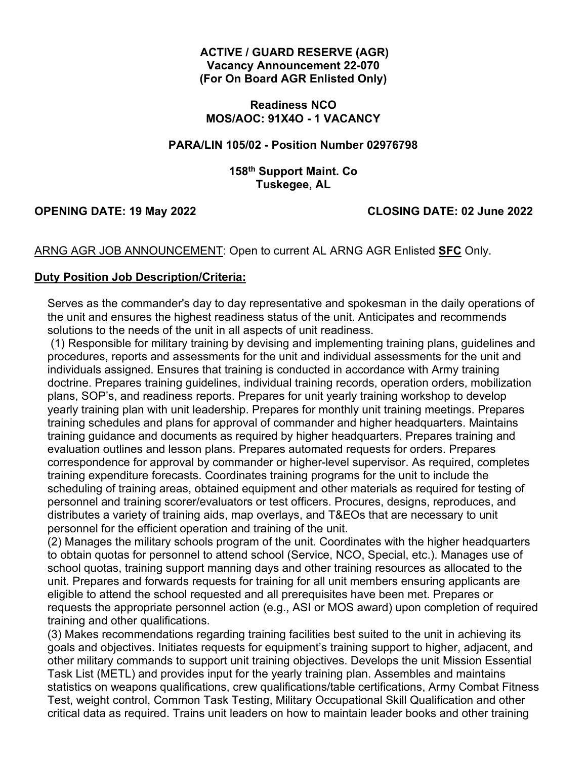#### **ACTIVE / GUARD RESERVE (AGR) Vacancy Announcement 22-070 (For On Board AGR Enlisted Only)**

**Readiness NCO MOS/AOC: 91X4O - 1 VACANCY** 

## **PARA/LIN 105/02 - Position Number 02976798**

## **158th Support Maint. Co Tuskegee, AL**

# **OPENING DATE: 19 May 2022 CLOSING DATE: 02 June 2022**

ARNG AGR JOB ANNOUNCEMENT: Open to current AL ARNG AGR Enlisted **SFC** Only.

#### **Duty Position Job Description/Criteria:**

Serves as the commander's day to day representative and spokesman in the daily operations of the unit and ensures the highest readiness status of the unit. Anticipates and recommends solutions to the needs of the unit in all aspects of unit readiness.

(1) Responsible for military training by devising and implementing training plans, guidelines and procedures, reports and assessments for the unit and individual assessments for the unit and individuals assigned. Ensures that training is conducted in accordance with Army training doctrine. Prepares training guidelines, individual training records, operation orders, mobilization plans, SOP's, and readiness reports. Prepares for unit yearly training workshop to develop yearly training plan with unit leadership. Prepares for monthly unit training meetings. Prepares training schedules and plans for approval of commander and higher headquarters. Maintains training guidance and documents as required by higher headquarters. Prepares training and evaluation outlines and lesson plans. Prepares automated requests for orders. Prepares correspondence for approval by commander or higher-level supervisor. As required, completes training expenditure forecasts. Coordinates training programs for the unit to include the scheduling of training areas, obtained equipment and other materials as required for testing of personnel and training scorer/evaluators or test officers. Procures, designs, reproduces, and distributes a variety of training aids, map overlays, and T&EOs that are necessary to unit personnel for the efficient operation and training of the unit.

(2) Manages the military schools program of the unit. Coordinates with the higher headquarters to obtain quotas for personnel to attend school (Service, NCO, Special, etc.). Manages use of school quotas, training support manning days and other training resources as allocated to the unit. Prepares and forwards requests for training for all unit members ensuring applicants are eligible to attend the school requested and all prerequisites have been met. Prepares or requests the appropriate personnel action (e.g., ASI or MOS award) upon completion of required training and other qualifications.

(3) Makes recommendations regarding training facilities best suited to the unit in achieving its goals and objectives. Initiates requests for equipment's training support to higher, adjacent, and other military commands to support unit training objectives. Develops the unit Mission Essential Task List (METL) and provides input for the yearly training plan. Assembles and maintains statistics on weapons qualifications, crew qualifications/table certifications, Army Combat Fitness Test, weight control, Common Task Testing, Military Occupational Skill Qualification and other critical data as required. Trains unit leaders on how to maintain leader books and other training